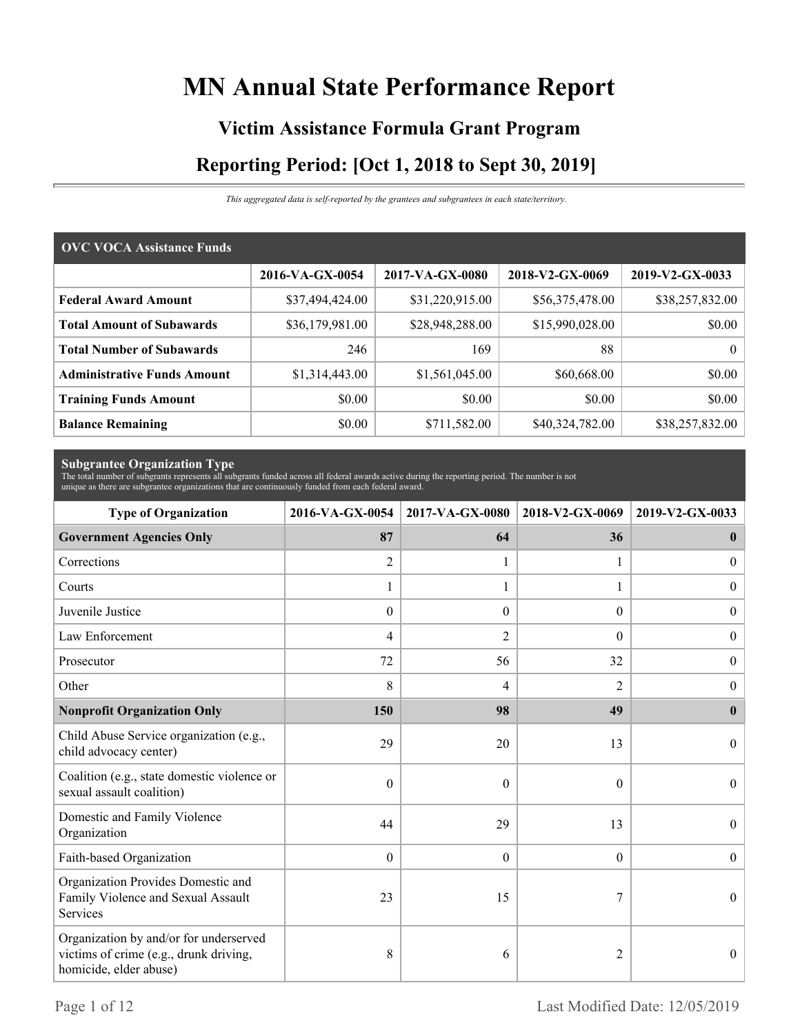# **MN Annual State Performance Report**

# **Victim Assistance Formula Grant Program Reporting Period: [Oct 1, 2018 to Sept 30, 2019]**

*This aggregated data is self-reported by the grantees and subgrantees in each state/territory.*

| <b>OVC VOCA Assistance Funds</b>   |                 |                 |                 |                 |
|------------------------------------|-----------------|-----------------|-----------------|-----------------|
|                                    | 2016-VA-GX-0054 | 2017-VA-GX-0080 | 2018-V2-GX-0069 | 2019-V2-GX-0033 |
| <b>Federal Award Amount</b>        | \$37,494,424.00 | \$31,220,915.00 | \$56,375,478.00 | \$38,257,832.00 |
| <b>Total Amount of Subawards</b>   | \$36,179,981.00 | \$28,948,288.00 | \$15,990,028.00 | \$0.00          |
| <b>Total Number of Subawards</b>   | 246             | 169             | 88              | 0 <sup>1</sup>  |
| <b>Administrative Funds Amount</b> | \$1,314,443.00  | \$1,561,045.00  | \$60,668.00     | \$0.00          |
| <b>Training Funds Amount</b>       | \$0.00          | \$0.00          | \$0.00          | \$0.00          |
| <b>Balance Remaining</b>           | \$0.00          | \$711,582.00    | \$40,324,782.00 | \$38,257,832.00 |

**Subgrantee Organization Type** The total number of subgrants represents all subgrants funded across all federal awards active during the reporting period. The number is not unique as there are subgrantee organizations that are continuously funded from each federal award.

| <b>Type of Organization</b>                                                                                | 2016-VA-GX-0054 | 2017-VA-GX-0080  | 2018-V2-GX-0069 | 2019-V2-GX-0033  |
|------------------------------------------------------------------------------------------------------------|-----------------|------------------|-----------------|------------------|
| <b>Government Agencies Only</b>                                                                            | 87              | 64               | 36              | $\mathbf{0}$     |
| Corrections                                                                                                | $\overline{2}$  |                  | 1               | $\overline{0}$   |
| Courts                                                                                                     | 1               | 1                | 1               | $\boldsymbol{0}$ |
| Juvenile Justice                                                                                           | $\mathbf{0}$    | $\boldsymbol{0}$ | $\overline{0}$  | $\boldsymbol{0}$ |
| Law Enforcement                                                                                            | 4               | $\overline{2}$   | $\Omega$        | $\overline{0}$   |
| Prosecutor                                                                                                 | 72              | 56               | 32              | $\overline{0}$   |
| Other                                                                                                      | 8               | 4                | $\overline{2}$  | $\overline{0}$   |
| <b>Nonprofit Organization Only</b>                                                                         | 150             | 98               | 49              | $\mathbf{0}$     |
| Child Abuse Service organization (e.g.,<br>child advocacy center)                                          | 29              | 20               | 13              | $\theta$         |
| Coalition (e.g., state domestic violence or<br>sexual assault coalition)                                   | $\mathbf{0}$    | $\theta$         | $\theta$        | $\Omega$         |
| Domestic and Family Violence<br>Organization                                                               | 44              | 29               | 13              | $\boldsymbol{0}$ |
| Faith-based Organization                                                                                   | $\theta$        | $\theta$         | $\theta$        | $\theta$         |
| Organization Provides Domestic and<br>Family Violence and Sexual Assault<br>Services                       | 23              | 15               | 7               | $\theta$         |
| Organization by and/or for underserved<br>victims of crime (e.g., drunk driving,<br>homicide, elder abuse) | 8               | 6                | $\overline{2}$  | $\overline{0}$   |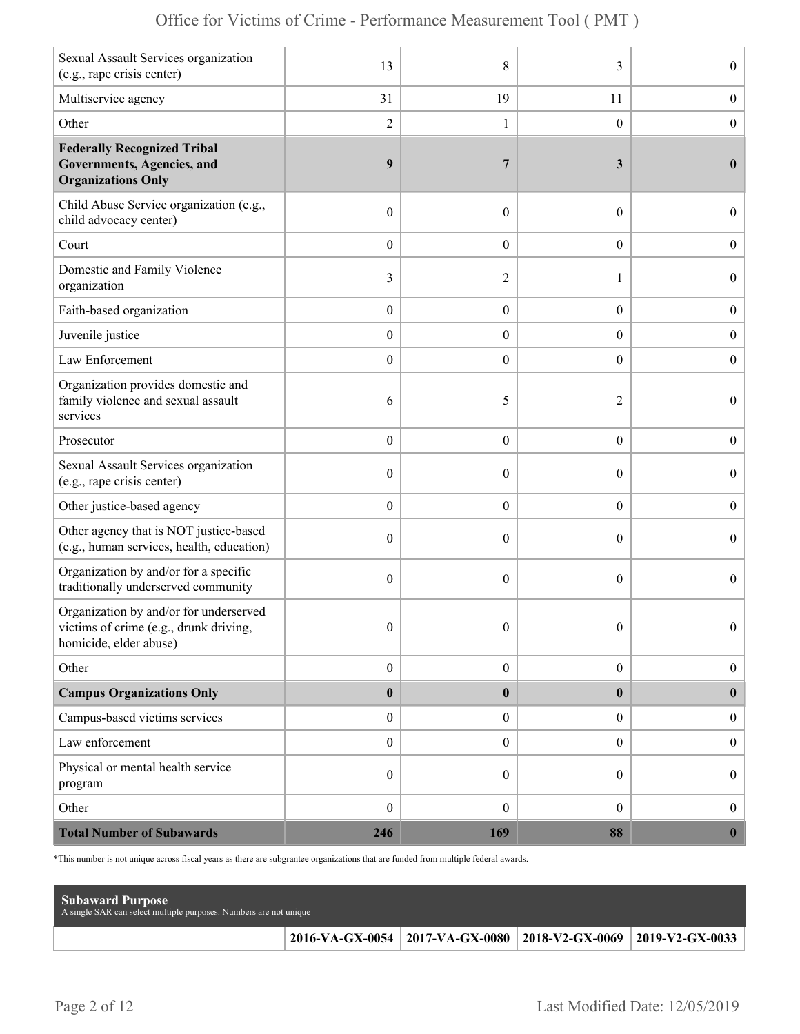| Sexual Assault Services organization<br>(e.g., rape crisis center)                                        | 13               | 8                | 3                | $\overline{0}$   |
|-----------------------------------------------------------------------------------------------------------|------------------|------------------|------------------|------------------|
| Multiservice agency                                                                                       | 31               | 19               | 11               | $\boldsymbol{0}$ |
| Other                                                                                                     | $\overline{2}$   | 1                | $\boldsymbol{0}$ | $\boldsymbol{0}$ |
| <b>Federally Recognized Tribal</b><br>Governments, Agencies, and<br><b>Organizations Only</b>             | $\boldsymbol{9}$ | 7                | 3                | $\bf{0}$         |
| Child Abuse Service organization (e.g.,<br>child advocacy center)                                         | $\boldsymbol{0}$ | $\overline{0}$   | $\theta$         | $\overline{0}$   |
| Court                                                                                                     | $\boldsymbol{0}$ | $\overline{0}$   | $\overline{0}$   | $\boldsymbol{0}$ |
| Domestic and Family Violence<br>organization                                                              | 3                | 2                | 1                | $\boldsymbol{0}$ |
| Faith-based organization                                                                                  | $\boldsymbol{0}$ | $\boldsymbol{0}$ | $\boldsymbol{0}$ | $\boldsymbol{0}$ |
| Juvenile justice                                                                                          | $\boldsymbol{0}$ | $\boldsymbol{0}$ | $\boldsymbol{0}$ | $\boldsymbol{0}$ |
| Law Enforcement                                                                                           | $\boldsymbol{0}$ | $\overline{0}$   | $\overline{0}$   | $\boldsymbol{0}$ |
| Organization provides domestic and<br>family violence and sexual assault<br>services                      | 6                | 5                | 2                | $\overline{0}$   |
| Prosecutor                                                                                                | $\boldsymbol{0}$ | $\overline{0}$   | $\overline{0}$   | $\boldsymbol{0}$ |
| Sexual Assault Services organization<br>(e.g., rape crisis center)                                        | $\boldsymbol{0}$ | 0                | $\theta$         | $\overline{0}$   |
| Other justice-based agency                                                                                | $\boldsymbol{0}$ | $\boldsymbol{0}$ | $\boldsymbol{0}$ | $\boldsymbol{0}$ |
| Other agency that is NOT justice-based<br>(e.g., human services, health, education)                       | $\boldsymbol{0}$ | $\overline{0}$   | $\theta$         | $\boldsymbol{0}$ |
| Organization by and/or for a specific<br>traditionally underserved community                              | $\boldsymbol{0}$ | $\overline{0}$   | $\theta$         | $\overline{0}$   |
| Organization by and/or for underserved<br>victims of crime (e.g., drunk driving<br>homicide, elder abuse) | $\mathbf{0}$     | $\overline{0}$   | $\theta$         | $\overline{0}$   |
| Other                                                                                                     | $\boldsymbol{0}$ | $\boldsymbol{0}$ | $\boldsymbol{0}$ | $\overline{0}$   |
| <b>Campus Organizations Only</b>                                                                          | $\boldsymbol{0}$ | $\bf{0}$         | $\bf{0}$         | $\bf{0}$         |
| Campus-based victims services                                                                             | $\boldsymbol{0}$ | $\boldsymbol{0}$ | $\boldsymbol{0}$ | $\overline{0}$   |
| Law enforcement                                                                                           | $\boldsymbol{0}$ | $\boldsymbol{0}$ | $\boldsymbol{0}$ | $\boldsymbol{0}$ |
| Physical or mental health service<br>program                                                              | $\boldsymbol{0}$ | $\overline{0}$   | $\overline{0}$   | $\boldsymbol{0}$ |
| Other                                                                                                     | $\boldsymbol{0}$ | $\boldsymbol{0}$ | $\overline{0}$   | $\overline{0}$   |
| <b>Total Number of Subawards</b>                                                                          | 246              | 169              | 88               | $\mathbf{0}$     |

\*This number is not unique across fiscal years as there are subgrantee organizations that are funded from multiple federal awards.

| <b>Subaward Purpose</b><br>A single SAR can select multiple purposes. Numbers are not unique |                                                                 |  |
|----------------------------------------------------------------------------------------------|-----------------------------------------------------------------|--|
|                                                                                              | 2016-VA-GX-0054 2017-VA-GX-0080 2018-V2-GX-0069 2019-V2-GX-0033 |  |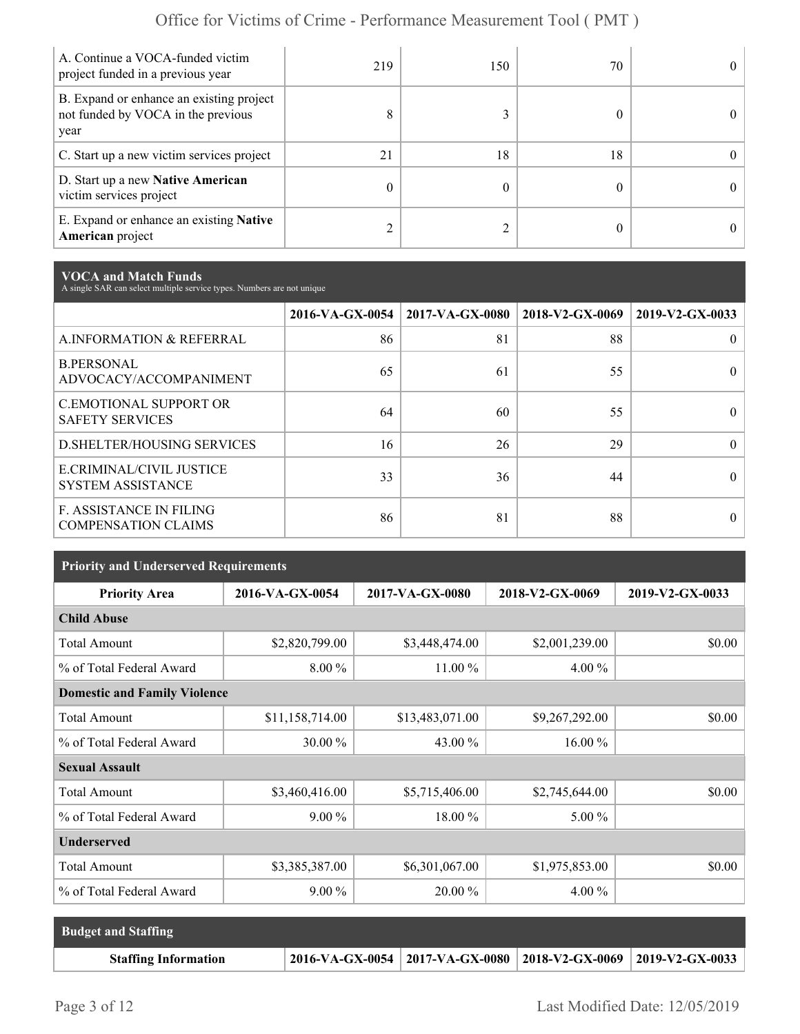| A. Continue a VOCA-funded victim<br>project funded in a previous year                  | 219 | 150 | 70 | $^{\circ}$ |
|----------------------------------------------------------------------------------------|-----|-----|----|------------|
| B. Expand or enhance an existing project<br>not funded by VOCA in the previous<br>year | 8   |     |    | $\Omega$   |
| C. Start up a new victim services project                                              | 21  | 18  | 18 | 0          |
| D. Start up a new Native American<br>victim services project                           | 0   |     |    | $^{\circ}$ |
| E. Expand or enhance an existing <b>Native</b><br><b>American</b> project              |     |     |    | 0          |

**VOCA and Match Funds** A single SAR can select multiple service types. Numbers are not unique

|                                                              | 2016-VA-GX-0054 | $2017$ -VA-GX-0080 | 2018-V2-GX-0069 | 2019-V2-GX-0033 |
|--------------------------------------------------------------|-----------------|--------------------|-----------------|-----------------|
| A.INFORMATION & REFERRAL                                     | 86              | 81                 | 88              |                 |
| <b>B.PERSONAL</b><br>ADVOCACY/ACCOMPANIMENT                  | 65              | 61                 | 55              | $\theta$        |
| <b>C.EMOTIONAL SUPPORT OR</b><br><b>SAFETY SERVICES</b>      | 64              | 60                 | 55              |                 |
| <b>D.SHELTER/HOUSING SERVICES</b>                            | 16              | 26                 | 29              | 0               |
| E.CRIMINAL/CIVIL JUSTICE<br><b>SYSTEM ASSISTANCE</b>         | 33              | 36                 | 44              |                 |
| <b>F. ASSISTANCE IN FILING</b><br><b>COMPENSATION CLAIMS</b> | 86              | 81                 | 88              | $\Omega$        |

| <b>Priority and Underserved Requirements</b> |                 |                 |                 |                 |  |  |  |
|----------------------------------------------|-----------------|-----------------|-----------------|-----------------|--|--|--|
| <b>Priority Area</b>                         | 2016-VA-GX-0054 | 2017-VA-GX-0080 | 2018-V2-GX-0069 | 2019-V2-GX-0033 |  |  |  |
| <b>Child Abuse</b>                           |                 |                 |                 |                 |  |  |  |
| <b>Total Amount</b>                          | \$2,820,799.00  | \$3,448,474.00  | \$2,001,239.00  | \$0.00          |  |  |  |
| % of Total Federal Award                     | 8.00 %          | 11.00 %         | 4.00 %          |                 |  |  |  |
| <b>Domestic and Family Violence</b>          |                 |                 |                 |                 |  |  |  |
| <b>Total Amount</b>                          | \$11,158,714.00 | \$13,483,071.00 | \$9,267,292.00  | \$0.00          |  |  |  |
| % of Total Federal Award                     | 30.00 %         | 43.00 %         | 16.00 %         |                 |  |  |  |
| <b>Sexual Assault</b>                        |                 |                 |                 |                 |  |  |  |
| <b>Total Amount</b>                          | \$3,460,416.00  | \$5,715,406.00  | \$2,745,644.00  | \$0.00          |  |  |  |
| % of Total Federal Award                     | $9.00\%$        | 18.00 %         | 5.00 %          |                 |  |  |  |
| <b>Underserved</b>                           |                 |                 |                 |                 |  |  |  |
| <b>Total Amount</b>                          | \$3,385,387.00  | \$6,301,067.00  | \$1,975,853.00  | \$0.00          |  |  |  |
| % of Total Federal Award                     | $9.00\%$        | 20.00 %         | $4.00\%$        |                 |  |  |  |

| <b>Budget and Staffing</b>  |                                                                       |  |
|-----------------------------|-----------------------------------------------------------------------|--|
| <b>Staffing Information</b> | 2016-VA-GX-0054   2017-VA-GX-0080   2018-V2-GX-0069   2019-V2-GX-0033 |  |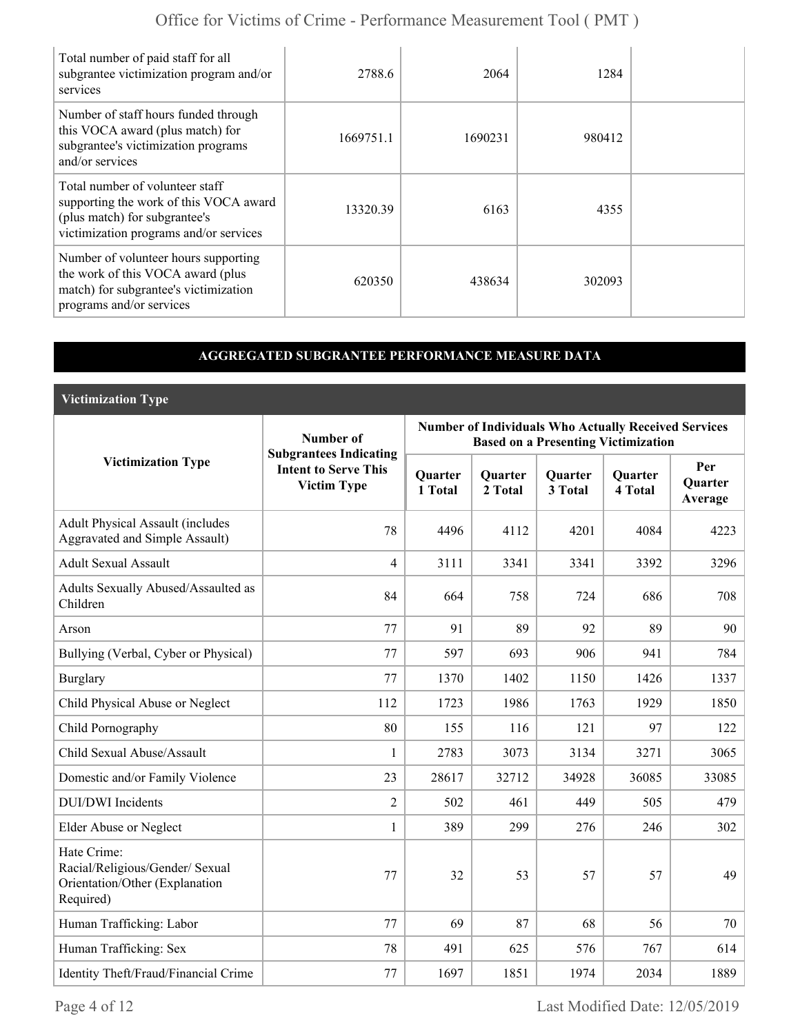| Total number of paid staff for all<br>subgrantee victimization program and/or<br>services                                                            | 2788.6    | 2064    | 1284   |  |
|------------------------------------------------------------------------------------------------------------------------------------------------------|-----------|---------|--------|--|
| Number of staff hours funded through<br>this VOCA award (plus match) for<br>subgrantee's victimization programs<br>and/or services                   | 1669751.1 | 1690231 | 980412 |  |
| Total number of volunteer staff<br>supporting the work of this VOCA award<br>(plus match) for subgrantee's<br>victimization programs and/or services | 13320.39  | 6163    | 4355   |  |
| Number of volunteer hours supporting<br>the work of this VOCA award (plus<br>match) for subgrantee's victimization<br>programs and/or services       | 620350    | 438634  | 302093 |  |

#### **AGGREGATED SUBGRANTEE PERFORMANCE MEASURE DATA**

**Victimization Type**

|                                                                                               | Number of                                                                          | <b>Number of Individuals Who Actually Received Services</b><br><b>Based on a Presenting Victimization</b> |                    |                    |                           |                                  |  |
|-----------------------------------------------------------------------------------------------|------------------------------------------------------------------------------------|-----------------------------------------------------------------------------------------------------------|--------------------|--------------------|---------------------------|----------------------------------|--|
| <b>Victimization Type</b>                                                                     | <b>Subgrantees Indicating</b><br><b>Intent to Serve This</b><br><b>Victim Type</b> | <b>Quarter</b><br>1 Total                                                                                 | Quarter<br>2 Total | Quarter<br>3 Total | <b>Quarter</b><br>4 Total | Per<br><b>Ouarter</b><br>Average |  |
| <b>Adult Physical Assault (includes</b><br><b>Aggravated and Simple Assault)</b>              | 78                                                                                 | 4496                                                                                                      | 4112               | 4201               | 4084                      | 4223                             |  |
| <b>Adult Sexual Assault</b>                                                                   | $\overline{4}$                                                                     | 3111                                                                                                      | 3341               | 3341               | 3392                      | 3296                             |  |
| Adults Sexually Abused/Assaulted as<br>Children                                               | 84                                                                                 | 664                                                                                                       | 758                | 724                | 686                       | 708                              |  |
| Arson                                                                                         | 77                                                                                 | 91                                                                                                        | 89                 | 92                 | 89                        | 90                               |  |
| Bullying (Verbal, Cyber or Physical)                                                          | 77                                                                                 | 597                                                                                                       | 693                | 906                | 941                       | 784                              |  |
| <b>Burglary</b>                                                                               | 77                                                                                 | 1370                                                                                                      | 1402               | 1150               | 1426                      | 1337                             |  |
| Child Physical Abuse or Neglect                                                               | 112                                                                                | 1723                                                                                                      | 1986               | 1763               | 1929                      | 1850                             |  |
| Child Pornography                                                                             | 80                                                                                 | 155                                                                                                       | 116                | 121                | 97                        | 122                              |  |
| Child Sexual Abuse/Assault                                                                    | 1                                                                                  | 2783                                                                                                      | 3073               | 3134               | 3271                      | 3065                             |  |
| Domestic and/or Family Violence                                                               | 23                                                                                 | 28617                                                                                                     | 32712              | 34928              | 36085                     | 33085                            |  |
| <b>DUI/DWI</b> Incidents                                                                      | $\overline{2}$                                                                     | 502                                                                                                       | 461                | 449                | 505                       | 479                              |  |
| <b>Elder Abuse or Neglect</b>                                                                 | 1                                                                                  | 389                                                                                                       | 299                | 276                | 246                       | 302                              |  |
| Hate Crime:<br>Racial/Religious/Gender/ Sexual<br>Orientation/Other (Explanation<br>Required) | 77                                                                                 | 32                                                                                                        | 53                 | 57                 | 57                        | 49                               |  |
| Human Trafficking: Labor                                                                      | 77                                                                                 | 69                                                                                                        | 87                 | 68                 | 56                        | 70                               |  |
| Human Trafficking: Sex                                                                        | 78                                                                                 | 491                                                                                                       | 625                | 576                | 767                       | 614                              |  |
| Identity Theft/Fraud/Financial Crime                                                          | 77                                                                                 | 1697                                                                                                      | 1851               | 1974               | 2034                      | 1889                             |  |

Page 4 of 12 Last Modified Date: 12/05/2019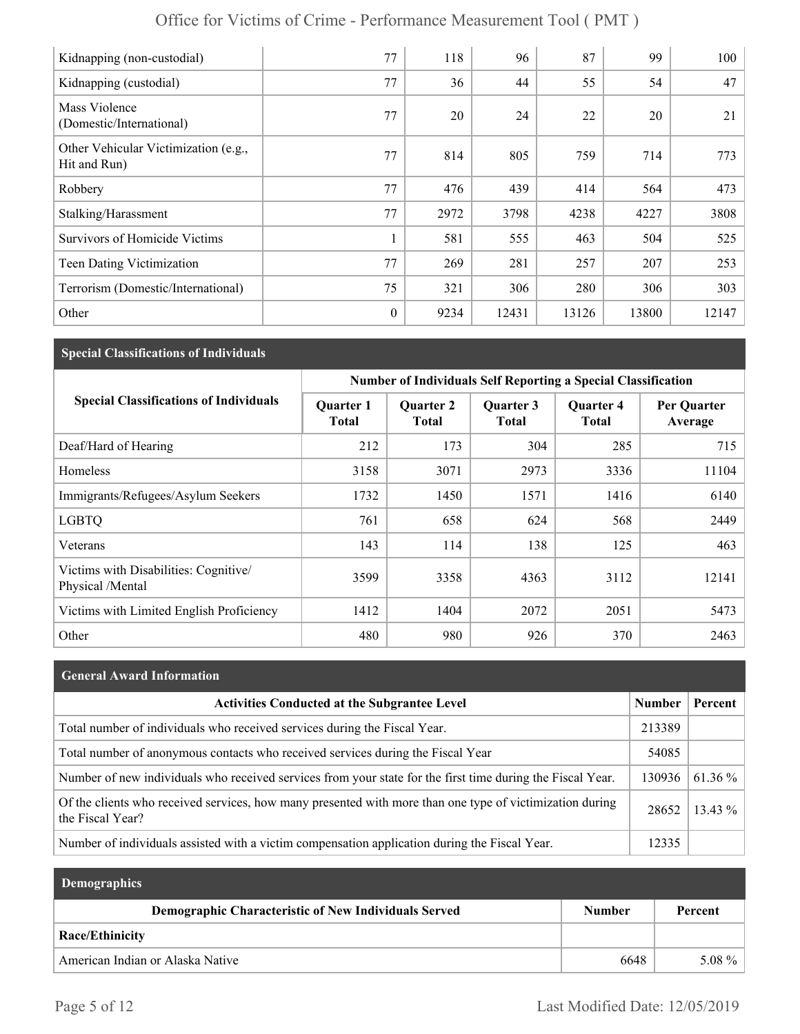| Kidnapping (non-custodial)                           | 77           | 118  | 96    | 87    | 99    | 100   |
|------------------------------------------------------|--------------|------|-------|-------|-------|-------|
| Kidnapping (custodial)                               | 77           | 36   | 44    | 55    | 54    | 47    |
| Mass Violence<br>(Domestic/International)            | 77           | 20   | 24    | 22    | 20    | 21    |
| Other Vehicular Victimization (e.g.,<br>Hit and Run) | 77           | 814  | 805   | 759   | 714   | 773   |
| Robbery                                              | 77           | 476  | 439   | 414   | 564   | 473   |
| Stalking/Harassment                                  | 77           | 2972 | 3798  | 4238  | 4227  | 3808  |
| <b>Survivors of Homicide Victims</b>                 |              | 581  | 555   | 463   | 504   | 525   |
| Teen Dating Victimization                            | 77           | 269  | 281   | 257   | 207   | 253   |
| Terrorism (Domestic/International)                   | 75           | 321  | 306   | 280   | 306   | 303   |
| Other                                                | $\mathbf{0}$ | 9234 | 12431 | 13126 | 13800 | 12147 |

## **Special Classifications of Individuals**

|                                                           | Number of Individuals Self Reporting a Special Classification |                                  |                           |                                  |                        |  |
|-----------------------------------------------------------|---------------------------------------------------------------|----------------------------------|---------------------------|----------------------------------|------------------------|--|
| <b>Special Classifications of Individuals</b>             | <b>Quarter 1</b><br><b>Total</b>                              | <b>Quarter 2</b><br><b>Total</b> | Quarter 3<br><b>Total</b> | <b>Quarter 4</b><br><b>Total</b> | Per Quarter<br>Average |  |
| Deaf/Hard of Hearing                                      | 212                                                           | 173                              | 304                       | 285                              | 715                    |  |
| Homeless                                                  | 3158                                                          | 3071                             | 2973                      | 3336                             | 11104                  |  |
| Immigrants/Refugees/Asylum Seekers                        | 1732                                                          | 1450                             | 1571                      | 1416                             | 6140                   |  |
| <b>LGBTQ</b>                                              | 761                                                           | 658                              | 624                       | 568                              | 2449                   |  |
| Veterans                                                  | 143                                                           | 114                              | 138                       | 125                              | 463                    |  |
| Victims with Disabilities: Cognitive/<br>Physical /Mental | 3599                                                          | 3358                             | 4363                      | 3112                             | 12141                  |  |
| Victims with Limited English Proficiency                  | 1412                                                          | 1404                             | 2072                      | 2051                             | 5473                   |  |
| Other                                                     | 480                                                           | 980                              | 926                       | 370                              | 2463                   |  |

## **General Award Information**

| <b>Activities Conducted at the Subgrantee Level</b>                                                                          | <b>Number</b> | Percent   |
|------------------------------------------------------------------------------------------------------------------------------|---------------|-----------|
| Total number of individuals who received services during the Fiscal Year.                                                    | 213389        |           |
| Total number of anonymous contacts who received services during the Fiscal Year                                              | 54085         |           |
| Number of new individuals who received services from your state for the first time during the Fiscal Year.                   | 130936        | $61.36\%$ |
| Of the clients who received services, how many presented with more than one type of victimization during<br>the Fiscal Year? | 28652         | $13.43\%$ |
| Number of individuals assisted with a victim compensation application during the Fiscal Year.                                | 12335         |           |

| <b>Demographics</b>                                  |               |          |
|------------------------------------------------------|---------------|----------|
| Demographic Characteristic of New Individuals Served | <b>Number</b> | Percent  |
| Race/Ethinicity                                      |               |          |
| American Indian or Alaska Native                     | 6648          | $5.08\%$ |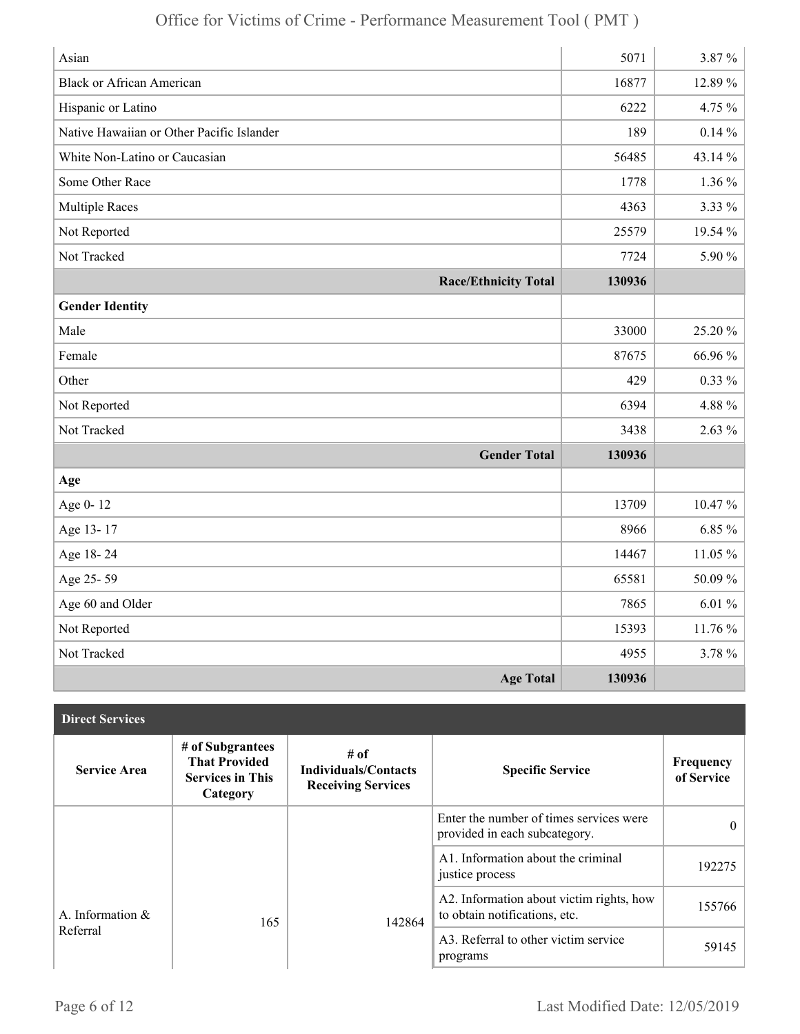| Asian                                     | 5071   | 3.87 %   |
|-------------------------------------------|--------|----------|
| <b>Black or African American</b>          | 16877  | 12.89%   |
| Hispanic or Latino                        | 6222   | 4.75 %   |
| Native Hawaiian or Other Pacific Islander | 189    | $0.14\%$ |
| White Non-Latino or Caucasian             | 56485  | 43.14%   |
| Some Other Race                           | 1778   | $1.36\%$ |
| <b>Multiple Races</b>                     | 4363   | 3.33 %   |
| Not Reported                              | 25579  | 19.54 %  |
| Not Tracked                               | 7724   | 5.90 %   |
| <b>Race/Ethnicity Total</b>               | 130936 |          |
| <b>Gender Identity</b>                    |        |          |
| Male                                      | 33000  | 25.20%   |
| Female                                    | 87675  | 66.96%   |
| Other                                     | 429    | $0.33\%$ |
| Not Reported                              | 6394   | 4.88%    |
| Not Tracked                               | 3438   | $2.63\%$ |
| <b>Gender Total</b>                       | 130936 |          |
| Age                                       |        |          |
| Age 0-12                                  | 13709  | 10.47%   |
| Age 13-17                                 | 8966   | $6.85\%$ |
| Age 18-24                                 | 14467  | 11.05 %  |
| Age 25-59                                 | 65581  | 50.09%   |
| Age 60 and Older                          | 7865   | $6.01\%$ |
| Not Reported                              | 15393  | 11.76 %  |
| Not Tracked                               | 4955   | 3.78 %   |
| <b>Age Total</b>                          | 130936 |          |

| <b>Direct Services</b> |                                                                                 |                                                                  |                                                                           |                         |
|------------------------|---------------------------------------------------------------------------------|------------------------------------------------------------------|---------------------------------------------------------------------------|-------------------------|
| <b>Service Area</b>    | # of Subgrantees<br><b>That Provided</b><br><b>Services in This</b><br>Category | # of<br><b>Individuals/Contacts</b><br><b>Receiving Services</b> | <b>Specific Service</b>                                                   | Frequency<br>of Service |
|                        |                                                                                 |                                                                  | Enter the number of times services were<br>provided in each subcategory.  | $\theta$                |
|                        |                                                                                 |                                                                  | A1. Information about the criminal<br>justice process                     | 192275                  |
| A. Information &       | 165                                                                             | 142864                                                           | A2. Information about victim rights, how<br>to obtain notifications, etc. | 155766                  |
| Referral               |                                                                                 |                                                                  | A3. Referral to other victim service<br>programs                          | 59145                   |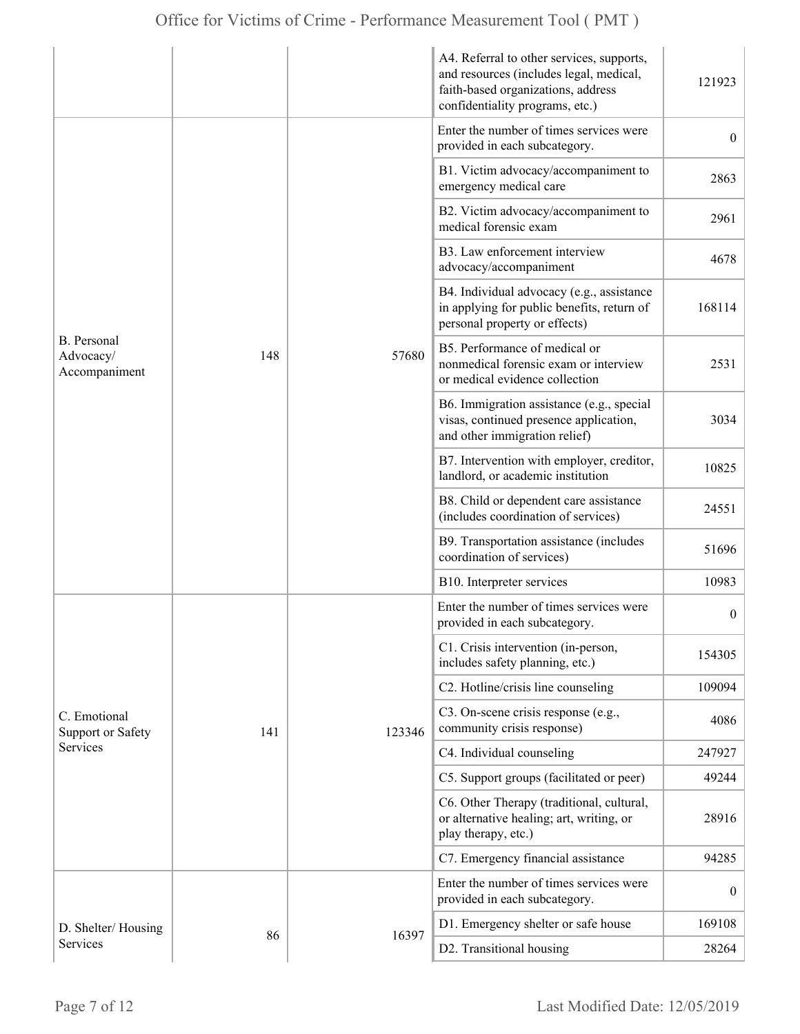|                                                  |     |        | A4. Referral to other services, supports,<br>and resources (includes legal, medical,<br>faith-based organizations, address<br>confidentiality programs, etc.) | 121923           |
|--------------------------------------------------|-----|--------|---------------------------------------------------------------------------------------------------------------------------------------------------------------|------------------|
| <b>B.</b> Personal<br>Advocacy/<br>Accompaniment |     | 57680  | Enter the number of times services were<br>provided in each subcategory.                                                                                      | $\overline{0}$   |
|                                                  |     |        | B1. Victim advocacy/accompaniment to<br>emergency medical care                                                                                                | 2863             |
|                                                  |     |        | B2. Victim advocacy/accompaniment to<br>medical forensic exam                                                                                                 | 2961             |
|                                                  |     |        | B3. Law enforcement interview<br>advocacy/accompaniment                                                                                                       | 4678             |
|                                                  |     |        | B4. Individual advocacy (e.g., assistance<br>in applying for public benefits, return of<br>personal property or effects)                                      | 168114           |
|                                                  | 148 |        | B5. Performance of medical or<br>nonmedical forensic exam or interview<br>or medical evidence collection                                                      | 2531             |
|                                                  |     |        | B6. Immigration assistance (e.g., special<br>visas, continued presence application,<br>and other immigration relief)                                          | 3034             |
|                                                  |     |        | B7. Intervention with employer, creditor,<br>landlord, or academic institution                                                                                | 10825            |
|                                                  |     |        | B8. Child or dependent care assistance<br>(includes coordination of services)                                                                                 | 24551            |
|                                                  |     |        | B9. Transportation assistance (includes<br>coordination of services)                                                                                          | 51696            |
|                                                  |     |        | B10. Interpreter services                                                                                                                                     | 10983            |
|                                                  |     |        | Enter the number of times services were<br>provided in each subcategory.                                                                                      | 0                |
|                                                  |     |        | C1. Crisis intervention (in-person,<br>includes safety planning, etc.)                                                                                        | 154305           |
|                                                  |     |        | C2. Hotline/crisis line counseling                                                                                                                            | 109094           |
| C. Emotional<br><b>Support or Safety</b>         | 141 | 123346 | C3. On-scene crisis response (e.g.,<br>community crisis response)                                                                                             | 4086             |
| Services                                         |     |        | C4. Individual counseling                                                                                                                                     | 247927           |
|                                                  |     |        | C5. Support groups (facilitated or peer)                                                                                                                      | 49244            |
|                                                  |     |        | C6. Other Therapy (traditional, cultural,<br>or alternative healing; art, writing, or<br>play therapy, etc.)                                                  | 28916            |
|                                                  |     |        | C7. Emergency financial assistance                                                                                                                            | 94285            |
|                                                  |     |        | Enter the number of times services were<br>provided in each subcategory.                                                                                      | $\boldsymbol{0}$ |
| D. Shelter/Housing                               |     |        | D1. Emergency shelter or safe house                                                                                                                           | 169108           |
| Services                                         | 86  | 16397  | D2. Transitional housing                                                                                                                                      | 28264            |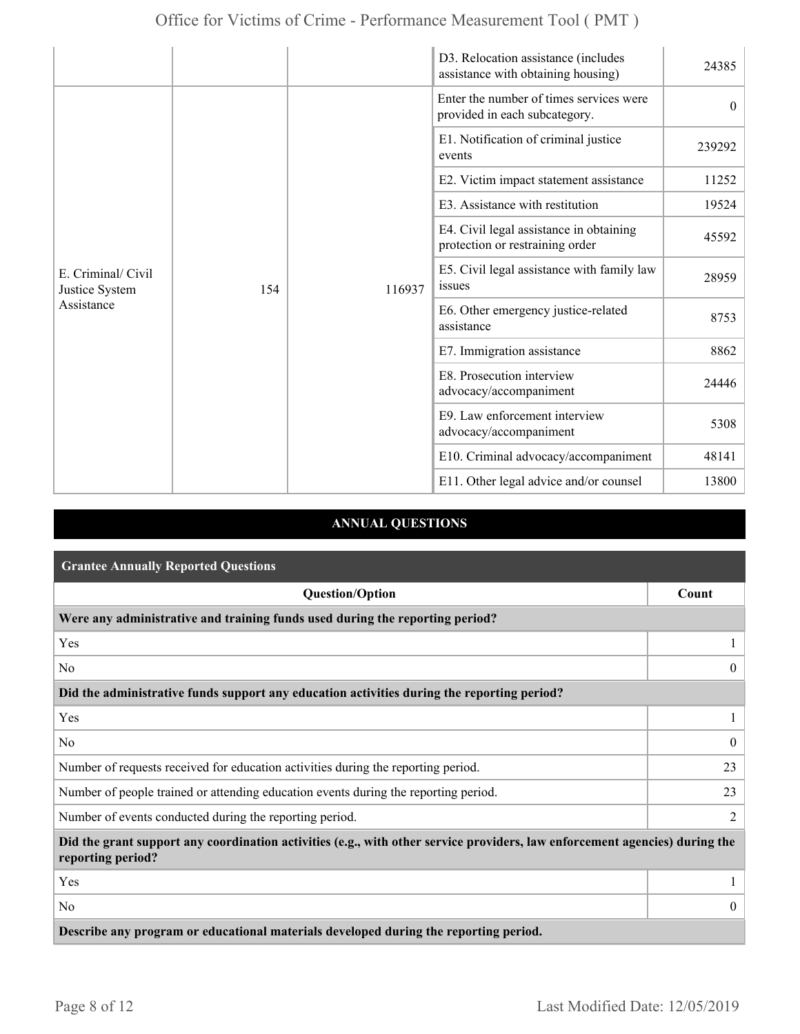|                                                    |     |                                                                                                                                                                                                                                                                                                                                                       | D3. Relocation assistance (includes<br>assistance with obtaining housing) | 24385    |
|----------------------------------------------------|-----|-------------------------------------------------------------------------------------------------------------------------------------------------------------------------------------------------------------------------------------------------------------------------------------------------------------------------------------------------------|---------------------------------------------------------------------------|----------|
| E. Criminal/ Civil<br>Justice System<br>Assistance |     |                                                                                                                                                                                                                                                                                                                                                       | Enter the number of times services were<br>provided in each subcategory.  | $\theta$ |
|                                                    |     |                                                                                                                                                                                                                                                                                                                                                       | E1. Notification of criminal justice<br>events                            | 239292   |
|                                                    |     |                                                                                                                                                                                                                                                                                                                                                       | E2. Victim impact statement assistance                                    | 11252    |
|                                                    |     |                                                                                                                                                                                                                                                                                                                                                       | E3. Assistance with restitution                                           | 19524    |
|                                                    |     | E4. Civil legal assistance in obtaining<br>protection or restraining order                                                                                                                                                                                                                                                                            | 45592                                                                     |          |
|                                                    | 154 | E5. Civil legal assistance with family law<br>issues<br>116937<br>E6. Other emergency justice-related<br>assistance<br>E7. Immigration assistance<br>E8. Prosecution interview<br>advocacy/accompaniment<br>E9. Law enforcement interview<br>advocacy/accompaniment<br>E10. Criminal advocacy/accompaniment<br>E11. Other legal advice and/or counsel |                                                                           | 28959    |
|                                                    |     |                                                                                                                                                                                                                                                                                                                                                       |                                                                           | 8753     |
|                                                    |     |                                                                                                                                                                                                                                                                                                                                                       | 8862                                                                      |          |
|                                                    |     |                                                                                                                                                                                                                                                                                                                                                       |                                                                           | 24446    |
|                                                    |     |                                                                                                                                                                                                                                                                                                                                                       |                                                                           | 5308     |
|                                                    |     |                                                                                                                                                                                                                                                                                                                                                       |                                                                           | 48141    |
|                                                    |     |                                                                                                                                                                                                                                                                                                                                                       |                                                                           | 13800    |

## **ANNUAL QUESTIONS**

| <b>Grantee Annually Reported Questions</b>                                                                                                       |                |  |
|--------------------------------------------------------------------------------------------------------------------------------------------------|----------------|--|
| <b>Question/Option</b>                                                                                                                           | Count          |  |
| Were any administrative and training funds used during the reporting period?                                                                     |                |  |
| Yes                                                                                                                                              |                |  |
| No                                                                                                                                               | $\Omega$       |  |
| Did the administrative funds support any education activities during the reporting period?                                                       |                |  |
| Yes                                                                                                                                              |                |  |
| No                                                                                                                                               | $\theta$       |  |
| Number of requests received for education activities during the reporting period.                                                                | 23             |  |
| Number of people trained or attending education events during the reporting period.                                                              | 23             |  |
| Number of events conducted during the reporting period.                                                                                          | $\overline{c}$ |  |
| Did the grant support any coordination activities (e.g., with other service providers, law enforcement agencies) during the<br>reporting period? |                |  |
| Yes                                                                                                                                              |                |  |
| No                                                                                                                                               | $\overline{0}$ |  |
| Describe any program or educational materials developed during the reporting period.                                                             |                |  |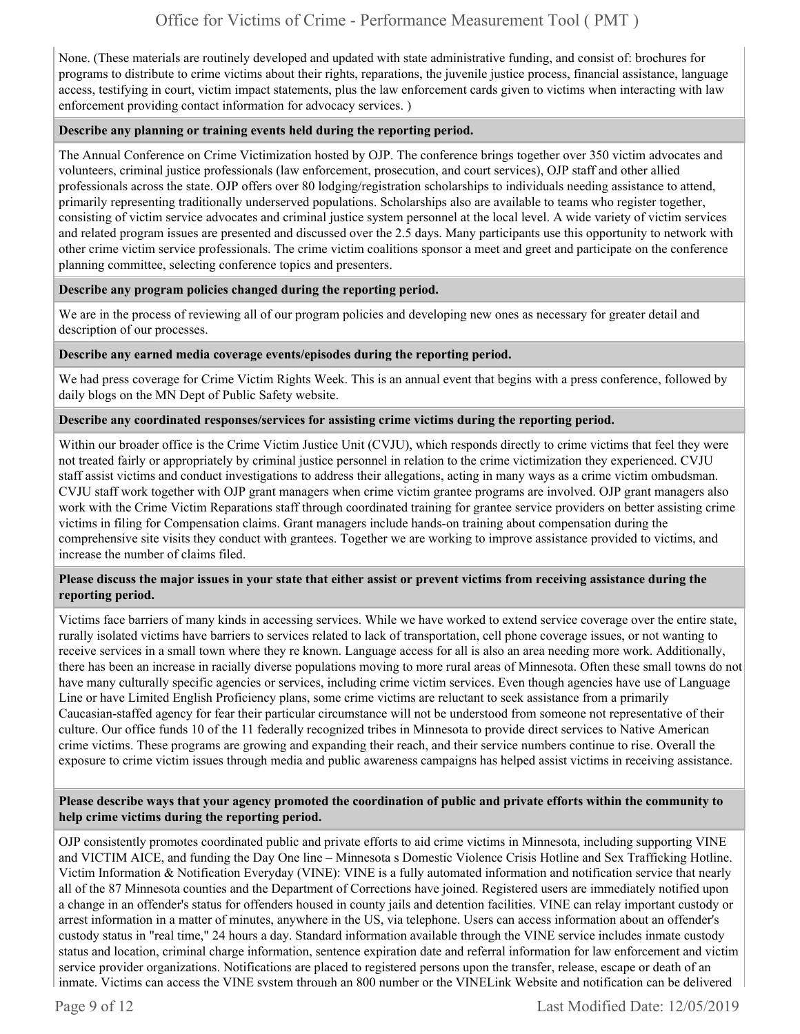None. (These materials are routinely developed and updated with state administrative funding, and consist of: brochures for programs to distribute to crime victims about their rights, reparations, the juvenile justice process, financial assistance, language access, testifying in court, victim impact statements, plus the law enforcement cards given to victims when interacting with law enforcement providing contact information for advocacy services. )

#### **Describe any planning or training events held during the reporting period.**

The Annual Conference on Crime Victimization hosted by OJP. The conference brings together over 350 victim advocates and volunteers, criminal justice professionals (law enforcement, prosecution, and court services), OJP staff and other allied professionals across the state. OJP offers over 80 lodging/registration scholarships to individuals needing assistance to attend, primarily representing traditionally underserved populations. Scholarships also are available to teams who register together, consisting of victim service advocates and criminal justice system personnel at the local level. A wide variety of victim services and related program issues are presented and discussed over the 2.5 days. Many participants use this opportunity to network with other crime victim service professionals. The crime victim coalitions sponsor a meet and greet and participate on the conference planning committee, selecting conference topics and presenters.

#### **Describe any program policies changed during the reporting period.**

We are in the process of reviewing all of our program policies and developing new ones as necessary for greater detail and description of our processes.

#### **Describe any earned media coverage events/episodes during the reporting period.**

We had press coverage for Crime Victim Rights Week. This is an annual event that begins with a press conference, followed by daily blogs on the MN Dept of Public Safety website.

**Describe any coordinated responses/services for assisting crime victims during the reporting period.** 

Within our broader office is the Crime Victim Justice Unit (CVJU), which responds directly to crime victims that feel they were not treated fairly or appropriately by criminal justice personnel in relation to the crime victimization they experienced. CVJU staff assist victims and conduct investigations to address their allegations, acting in many ways as a crime victim ombudsman. CVJU staff work together with OJP grant managers when crime victim grantee programs are involved. OJP grant managers also work with the Crime Victim Reparations staff through coordinated training for grantee service providers on better assisting crime victims in filing for Compensation claims. Grant managers include hands-on training about compensation during the comprehensive site visits they conduct with grantees. Together we are working to improve assistance provided to victims, and increase the number of claims filed.

#### **Please discuss the major issues in your state that either assist or prevent victims from receiving assistance during the reporting period.**

Victims face barriers of many kinds in accessing services. While we have worked to extend service coverage over the entire state, rurally isolated victims have barriers to services related to lack of transportation, cell phone coverage issues, or not wanting to receive services in a small town where they re known. Language access for all is also an area needing more work. Additionally, there has been an increase in racially diverse populations moving to more rural areas of Minnesota. Often these small towns do not have many culturally specific agencies or services, including crime victim services. Even though agencies have use of Language Line or have Limited English Proficiency plans, some crime victims are reluctant to seek assistance from a primarily Caucasian-staffed agency for fear their particular circumstance will not be understood from someone not representative of their culture. Our office funds 10 of the 11 federally recognized tribes in Minnesota to provide direct services to Native American crime victims. These programs are growing and expanding their reach, and their service numbers continue to rise. Overall the exposure to crime victim issues through media and public awareness campaigns has helped assist victims in receiving assistance.

#### **Please describe ways that your agency promoted the coordination of public and private efforts within the community to help crime victims during the reporting period.**

OJP consistently promotes coordinated public and private efforts to aid crime victims in Minnesota, including supporting VINE and VICTIM AICE, and funding the Day One line – Minnesota s Domestic Violence Crisis Hotline and Sex Trafficking Hotline. Victim Information & Notification Everyday (VINE): VINE is a fully automated information and notification service that nearly all of the 87 Minnesota counties and the Department of Corrections have joined. Registered users are immediately notified upon a change in an offender's status for offenders housed in county jails and detention facilities. VINE can relay important custody or arrest information in a matter of minutes, anywhere in the US, via telephone. Users can access information about an offender's custody status in "real time," 24 hours a day. Standard information available through the VINE service includes inmate custody status and location, criminal charge information, sentence expiration date and referral information for law enforcement and victim service provider organizations. Notifications are placed to registered persons upon the transfer, release, escape or death of an inmate. Victims can access the VINE system through an 800 number or the VINELink Website and notification can be delivered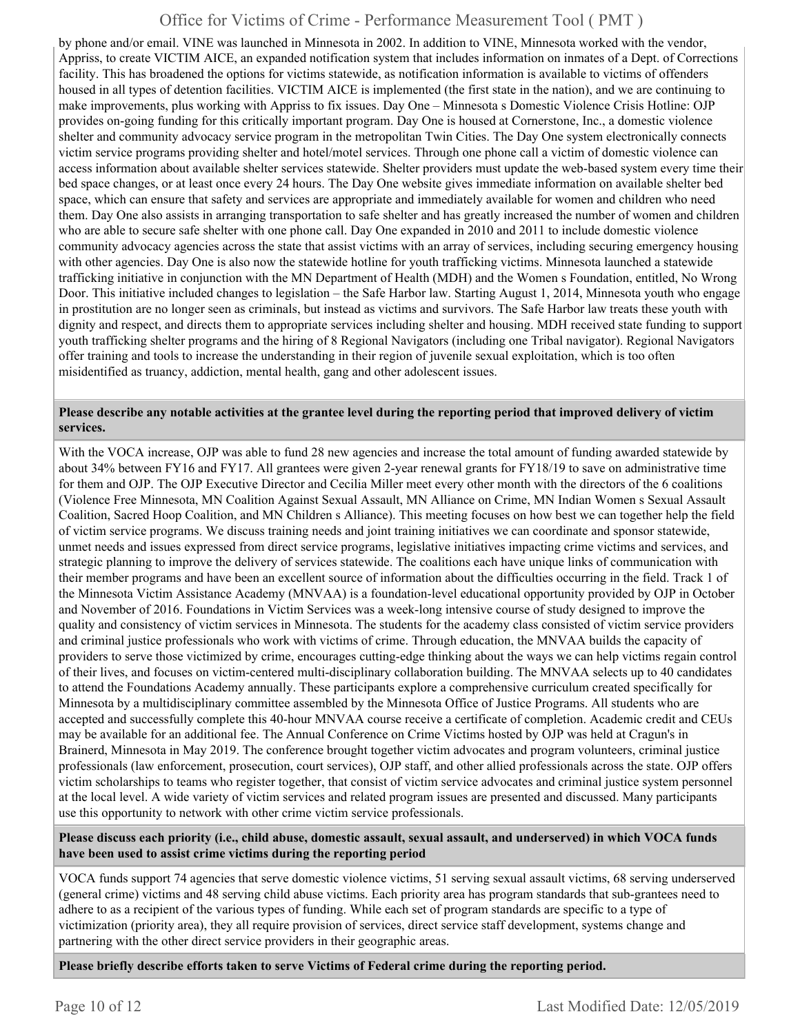by phone and/or email. VINE was launched in Minnesota in 2002. In addition to VINE, Minnesota worked with the vendor, Appriss, to create VICTIM AICE, an expanded notification system that includes information on inmates of a Dept. of Corrections facility. This has broadened the options for victims statewide, as notification information is available to victims of offenders housed in all types of detention facilities. VICTIM AICE is implemented (the first state in the nation), and we are continuing to make improvements, plus working with Appriss to fix issues. Day One – Minnesota s Domestic Violence Crisis Hotline: OJP provides on-going funding for this critically important program. Day One is housed at Cornerstone, Inc., a domestic violence shelter and community advocacy service program in the metropolitan Twin Cities. The Day One system electronically connects victim service programs providing shelter and hotel/motel services. Through one phone call a victim of domestic violence can access information about available shelter services statewide. Shelter providers must update the web-based system every time their bed space changes, or at least once every 24 hours. The Day One website gives immediate information on available shelter bed space, which can ensure that safety and services are appropriate and immediately available for women and children who need them. Day One also assists in arranging transportation to safe shelter and has greatly increased the number of women and children who are able to secure safe shelter with one phone call. Day One expanded in 2010 and 2011 to include domestic violence community advocacy agencies across the state that assist victims with an array of services, including securing emergency housing with other agencies. Day One is also now the statewide hotline for youth trafficking victims. Minnesota launched a statewide trafficking initiative in conjunction with the MN Department of Health (MDH) and the Women s Foundation, entitled, No Wrong Door. This initiative included changes to legislation – the Safe Harbor law. Starting August 1, 2014, Minnesota youth who engage in prostitution are no longer seen as criminals, but instead as victims and survivors. The Safe Harbor law treats these youth with dignity and respect, and directs them to appropriate services including shelter and housing. MDH received state funding to support youth trafficking shelter programs and the hiring of 8 Regional Navigators (including one Tribal navigator). Regional Navigators offer training and tools to increase the understanding in their region of juvenile sexual exploitation, which is too often misidentified as truancy, addiction, mental health, gang and other adolescent issues.

#### **Please describe any notable activities at the grantee level during the reporting period that improved delivery of victim services.**

With the VOCA increase, OJP was able to fund 28 new agencies and increase the total amount of funding awarded statewide by about 34% between FY16 and FY17. All grantees were given 2-year renewal grants for FY18/19 to save on administrative time for them and OJP. The OJP Executive Director and Cecilia Miller meet every other month with the directors of the 6 coalitions (Violence Free Minnesota, MN Coalition Against Sexual Assault, MN Alliance on Crime, MN Indian Women s Sexual Assault Coalition, Sacred Hoop Coalition, and MN Children s Alliance). This meeting focuses on how best we can together help the field of victim service programs. We discuss training needs and joint training initiatives we can coordinate and sponsor statewide, unmet needs and issues expressed from direct service programs, legislative initiatives impacting crime victims and services, and strategic planning to improve the delivery of services statewide. The coalitions each have unique links of communication with their member programs and have been an excellent source of information about the difficulties occurring in the field. Track 1 of the Minnesota Victim Assistance Academy (MNVAA) is a foundation-level educational opportunity provided by OJP in October and November of 2016. Foundations in Victim Services was a week-long intensive course of study designed to improve the quality and consistency of victim services in Minnesota. The students for the academy class consisted of victim service providers and criminal justice professionals who work with victims of crime. Through education, the MNVAA builds the capacity of providers to serve those victimized by crime, encourages cutting-edge thinking about the ways we can help victims regain control of their lives, and focuses on victim-centered multi-disciplinary collaboration building. The MNVAA selects up to 40 candidates to attend the Foundations Academy annually. These participants explore a comprehensive curriculum created specifically for Minnesota by a multidisciplinary committee assembled by the Minnesota Office of Justice Programs. All students who are accepted and successfully complete this 40-hour MNVAA course receive a certificate of completion. Academic credit and CEUs may be available for an additional fee. The Annual Conference on Crime Victims hosted by OJP was held at Cragun's in Brainerd, Minnesota in May 2019. The conference brought together victim advocates and program volunteers, criminal justice professionals (law enforcement, prosecution, court services), OJP staff, and other allied professionals across the state. OJP offers victim scholarships to teams who register together, that consist of victim service advocates and criminal justice system personnel at the local level. A wide variety of victim services and related program issues are presented and discussed. Many participants use this opportunity to network with other crime victim service professionals.

#### **Please discuss each priority (i.e., child abuse, domestic assault, sexual assault, and underserved) in which VOCA funds have been used to assist crime victims during the reporting period**

VOCA funds support 74 agencies that serve domestic violence victims, 51 serving sexual assault victims, 68 serving underserved (general crime) victims and 48 serving child abuse victims. Each priority area has program standards that sub-grantees need to adhere to as a recipient of the various types of funding. While each set of program standards are specific to a type of victimization (priority area), they all require provision of services, direct service staff development, systems change and partnering with the other direct service providers in their geographic areas.

**Please briefly describe efforts taken to serve Victims of Federal crime during the reporting period.**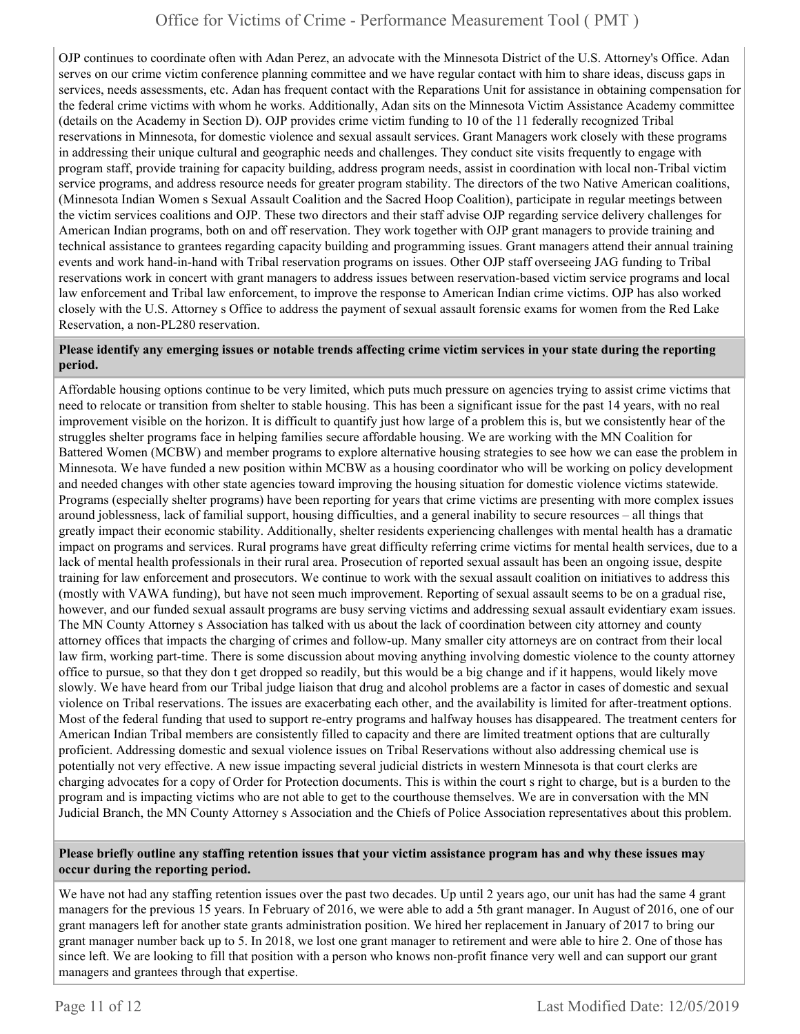OJP continues to coordinate often with Adan Perez, an advocate with the Minnesota District of the U.S. Attorney's Office. Adan serves on our crime victim conference planning committee and we have regular contact with him to share ideas, discuss gaps in services, needs assessments, etc. Adan has frequent contact with the Reparations Unit for assistance in obtaining compensation for the federal crime victims with whom he works. Additionally, Adan sits on the Minnesota Victim Assistance Academy committee (details on the Academy in Section D). OJP provides crime victim funding to 10 of the 11 federally recognized Tribal reservations in Minnesota, for domestic violence and sexual assault services. Grant Managers work closely with these programs in addressing their unique cultural and geographic needs and challenges. They conduct site visits frequently to engage with program staff, provide training for capacity building, address program needs, assist in coordination with local non-Tribal victim service programs, and address resource needs for greater program stability. The directors of the two Native American coalitions, (Minnesota Indian Women s Sexual Assault Coalition and the Sacred Hoop Coalition), participate in regular meetings between the victim services coalitions and OJP. These two directors and their staff advise OJP regarding service delivery challenges for American Indian programs, both on and off reservation. They work together with OJP grant managers to provide training and technical assistance to grantees regarding capacity building and programming issues. Grant managers attend their annual training events and work hand-in-hand with Tribal reservation programs on issues. Other OJP staff overseeing JAG funding to Tribal reservations work in concert with grant managers to address issues between reservation-based victim service programs and local law enforcement and Tribal law enforcement, to improve the response to American Indian crime victims. OJP has also worked closely with the U.S. Attorney s Office to address the payment of sexual assault forensic exams for women from the Red Lake Reservation, a non-PL280 reservation.

#### **Please identify any emerging issues or notable trends affecting crime victim services in your state during the reporting period.**

Affordable housing options continue to be very limited, which puts much pressure on agencies trying to assist crime victims that need to relocate or transition from shelter to stable housing. This has been a significant issue for the past 14 years, with no real improvement visible on the horizon. It is difficult to quantify just how large of a problem this is, but we consistently hear of the struggles shelter programs face in helping families secure affordable housing. We are working with the MN Coalition for Battered Women (MCBW) and member programs to explore alternative housing strategies to see how we can ease the problem in Minnesota. We have funded a new position within MCBW as a housing coordinator who will be working on policy development and needed changes with other state agencies toward improving the housing situation for domestic violence victims statewide. Programs (especially shelter programs) have been reporting for years that crime victims are presenting with more complex issues around joblessness, lack of familial support, housing difficulties, and a general inability to secure resources – all things that greatly impact their economic stability. Additionally, shelter residents experiencing challenges with mental health has a dramatic impact on programs and services. Rural programs have great difficulty referring crime victims for mental health services, due to a lack of mental health professionals in their rural area. Prosecution of reported sexual assault has been an ongoing issue, despite training for law enforcement and prosecutors. We continue to work with the sexual assault coalition on initiatives to address this (mostly with VAWA funding), but have not seen much improvement. Reporting of sexual assault seems to be on a gradual rise, however, and our funded sexual assault programs are busy serving victims and addressing sexual assault evidentiary exam issues. The MN County Attorney s Association has talked with us about the lack of coordination between city attorney and county attorney offices that impacts the charging of crimes and follow-up. Many smaller city attorneys are on contract from their local law firm, working part-time. There is some discussion about moving anything involving domestic violence to the county attorney office to pursue, so that they don t get dropped so readily, but this would be a big change and if it happens, would likely move slowly. We have heard from our Tribal judge liaison that drug and alcohol problems are a factor in cases of domestic and sexual violence on Tribal reservations. The issues are exacerbating each other, and the availability is limited for after-treatment options. Most of the federal funding that used to support re-entry programs and halfway houses has disappeared. The treatment centers for American Indian Tribal members are consistently filled to capacity and there are limited treatment options that are culturally proficient. Addressing domestic and sexual violence issues on Tribal Reservations without also addressing chemical use is potentially not very effective. A new issue impacting several judicial districts in western Minnesota is that court clerks are charging advocates for a copy of Order for Protection documents. This is within the court s right to charge, but is a burden to the program and is impacting victims who are not able to get to the courthouse themselves. We are in conversation with the MN Judicial Branch, the MN County Attorney s Association and the Chiefs of Police Association representatives about this problem.

#### **Please briefly outline any staffing retention issues that your victim assistance program has and why these issues may occur during the reporting period.**

We have not had any staffing retention issues over the past two decades. Up until 2 years ago, our unit has had the same 4 grant managers for the previous 15 years. In February of 2016, we were able to add a 5th grant manager. In August of 2016, one of our grant managers left for another state grants administration position. We hired her replacement in January of 2017 to bring our grant manager number back up to 5. In 2018, we lost one grant manager to retirement and were able to hire 2. One of those has since left. We are looking to fill that position with a person who knows non-profit finance very well and can support our grant managers and grantees through that expertise.